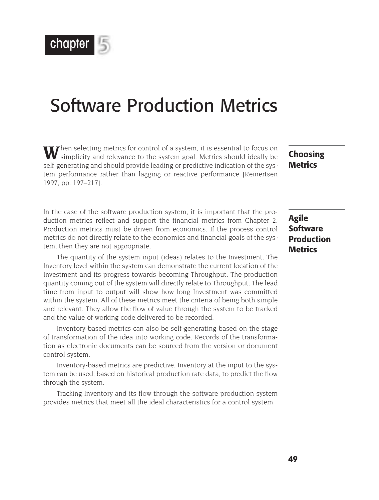# Software Production Metrics

chapter

When selecting metrics for control of a system, it is essential to focus on simplicity and relevance to the system goal. Metrics should ideally be self-generating and should provide leading or predictive indication of the system performance rather than lagging or reactive performance [Reinertsen 1997, pp. 197–217].

In the case of the software production system, it is important that the production metrics reflect and support the financial metrics from Chapter 2. Production metrics must be driven from economics. If the process control metrics do not directly relate to the economics and financial goals of the system, then they are not appropriate.

The quantity of the system input (ideas) relates to the Investment. The Inventory level within the system can demonstrate the current location of the Investment and its progress towards becoming Throughput. The production quantity coming out of the system will directly relate to Throughput. The lead time from input to output will show how long Investment was committed within the system. All of these metrics meet the criteria of being both simple and relevant. They allow the flow of value through the system to be tracked and the value of working code delivered to be recorded.

Inventory-based metrics can also be self-generating based on the stage of transformation of the idea into working code. Records of the transformation as electronic documents can be sourced from the version or document control system.

Inventory-based metrics are predictive. Inventory at the input to the system can be used, based on historical production rate data, to predict the flow through the system.

Tracking Inventory and its flow through the software production system provides metrics that meet all the ideal characteristics for a control system.

**Choosing Metrics**

**Agile Software Production Metrics**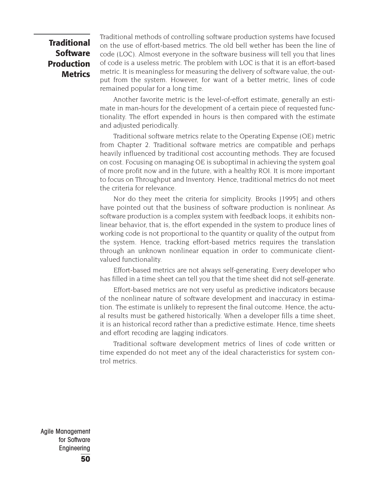## **Traditional Software Production Metrics**

Traditional methods of controlling software production systems have focused on the use of effort-based metrics. The old bell wether has been the line of code (LOC). Almost everyone in the software business will tell you that lines of code is a useless metric. The problem with LOC is that it is an effort-based metric. It is meaningless for measuring the delivery of software value, the output from the system. However, for want of a better metric, lines of code remained popular for a long time.

Another favorite metric is the level-of-effort estimate, generally an estimate in man-hours for the development of a certain piece of requested functionality. The effort expended in hours is then compared with the estimate and adjusted periodically.

Traditional software metrics relate to the Operating Expense (OE) metric from Chapter 2. Traditional software metrics are compatible and perhaps heavily influenced by traditional cost accounting methods. They are focused on cost. Focusing on managing OE is suboptimal in achieving the system goal of more profit now and in the future, with a healthy ROI. It is more important to focus on Throughput and Inventory. Hence, traditional metrics do not meet the criteria for relevance.

Nor do they meet the criteria for simplicity. Brooks [1995] and others have pointed out that the business of software production is nonlinear. As software production is a complex system with feedback loops, it exhibits nonlinear behavior, that is, the effort expended in the system to produce lines of working code is not proportional to the quantity or quality of the output from the system. Hence, tracking effort-based metrics requires the translation through an unknown nonlinear equation in order to communicate clientvalued functionality.

Effort-based metrics are not always self-generating. Every developer who has filled in a time sheet can tell you that the time sheet did not self-generate.

Effort-based metrics are not very useful as predictive indicators because of the nonlinear nature of software development and inaccuracy in estimation. The estimate is unlikely to represent the final outcome. Hence, the actual results must be gathered historically. When a developer fills a time sheet, it is an historical record rather than a predictive estimate. Hence, time sheets and effort recoding are lagging indicators.

Traditional software development metrics of lines of code written or time expended do not meet any of the ideal characteristics for system control metrics.

Agile Management for Software **Engineering 50**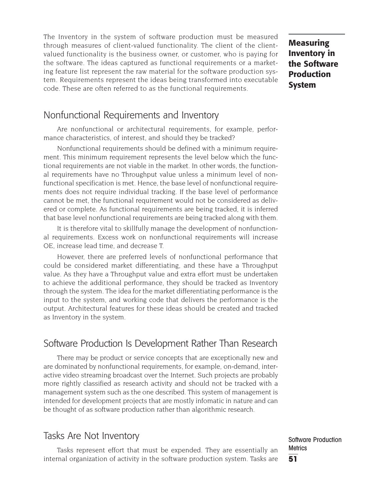The Inventory in the system of software production must be measured through measures of client-valued functionality. The client of the clientvalued functionality is the business owner, or customer, who is paying for the software. The ideas captured as functional requirements or a marketing feature list represent the raw material for the software production system. Requirements represent the ideas being transformed into executable code. These are often referred to as the functional requirements.

**Measuring Inventory in the Software Production System**

## Nonfunctional Requirements and Inventory

Are nonfunctional or architectural requirements, for example, performance characteristics, of interest, and should they be tracked?

Nonfunctional requirements should be defined with a minimum requirement. This minimum requirement represents the level below which the functional requirements are not viable in the market. In other words, the functional requirements have no Throughput value unless a minimum level of nonfunctional specification is met. Hence, the base level of nonfunctional requirements does not require individual tracking. If the base level of performance cannot be met, the functional requirement would not be considered as delivered or complete. As functional requirements are being tracked, it is inferred that base level nonfunctional requirements are being tracked along with them.

It is therefore vital to skillfully manage the development of nonfunctional requirements. Excess work on nonfunctional requirements will increase OE, increase lead time, and decrease T.

However, there are preferred levels of nonfunctional performance that could be considered market differentiating, and these have a Throughput value. As they have a Throughput value and extra effort must be undertaken to achieve the additional performance, they should be tracked as Inventory through the system. The idea for the market differentiating performance is the input to the system, and working code that delivers the performance is the output. Architectural features for these ideas should be created and tracked as Inventory in the system.

## Software Production Is Development Rather Than Research

There may be product or service concepts that are exceptionally new and are dominated by nonfunctional requirements, for example, on-demand, interactive video streaming broadcast over the Internet. Such projects are probably more rightly classified as research activity and should not be tracked with a management system such as the one described. This system of management is intended for development projects that are mostly infomatic in nature and can be thought of as software production rather than algorithmic research.

### Tasks Are Not Inventory

Tasks represent effort that must be expended. They are essentially an internal organization of activity in the software production system. Tasks are Software Production **Metrics 51**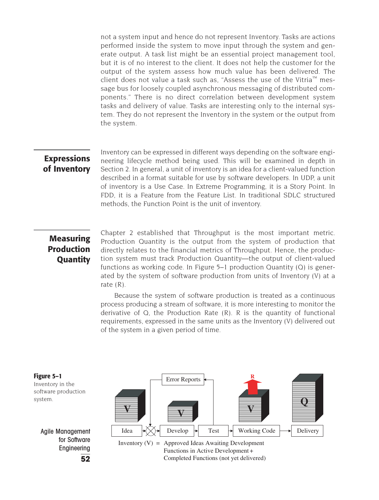not a system input and hence do not represent Inventory. Tasks are actions performed inside the system to move input through the system and generate output. A task list might be an essential project management tool, but it is of no interest to the client. It does not help the customer for the output of the system assess how much value has been delivered. The client does not value a task such as, "Assess the use of the Vitria<sup>™</sup> message bus for loosely coupled asynchronous messaging of distributed components." There is no direct correlation between development system tasks and delivery of value. Tasks are interesting only to the internal system. They do not represent the Inventory in the system or the output from the system.

#### **Expressions of Inventory**

Inventory can be expressed in different ways depending on the software engineering lifecycle method being used. This will be examined in depth in Section 2. In general, a unit of inventory is an idea for a client-valued function described in a format suitable for use by software developers. In UDP, a unit of inventory is a Use Case. In Extreme Programming, it is a Story Point. In FDD, it is a Feature from the Feature List. In traditional SDLC structured methods, the Function Point is the unit of inventory.

### **Measuring Production Quantity**

Chapter 2 established that Throughput is the most important metric. Production Quantity is the output from the system of production that directly relates to the financial metrics of Throughput. Hence, the production system must track Production Quantity—the output of client-valued functions as working code. In Figure 5–1 production Quantity (Q) is generated by the system of software production from units of Inventory (V) at a rate (R).

Because the system of software production is treated as a continuous process producing a stream of software, it is more interesting to monitor the derivative of Q, the Production Rate (R). R is the quantity of functional requirements, expressed in the same units as the Inventory (V) delivered out of the system in a given period of time.

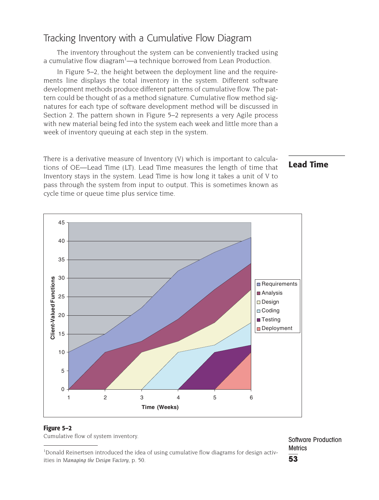# Tracking Inventory with a Cumulative Flow Diagram

The inventory throughout the system can be conveniently tracked using a cumulative flow diagram<sup>1</sup>—a technique borrowed from Lean Production.

In Figure 5–2, the height between the deployment line and the requirements line displays the total inventory in the system. Different software development methods produce different patterns of cumulative flow. The pattern could be thought of as a method signature. Cumulative flow method signatures for each type of software development method will be discussed in Section 2. The pattern shown in Figure 5–2 represents a very Agile process with new material being fed into the system each week and little more than a week of inventory queuing at each step in the system.

There is a derivative measure of Inventory (V) which is important to calculations of OE—Lead Time (LT). Lead Time measures the length of time that Inventory stays in the system. Lead Time is how long it takes a unit of V to pass through the system from input to output. This is sometimes known as cycle time or queue time plus service time.



#### **Figure 5–2**

Cumulative flow of system inventory.

#### **Lead Time**

Software Production **Metrics 53**

<sup>&</sup>lt;sup>1</sup>Donald Reinertsen introduced the idea of using cumulative flow diagrams for design activities in *Managing the Design Factory,* p. 50.